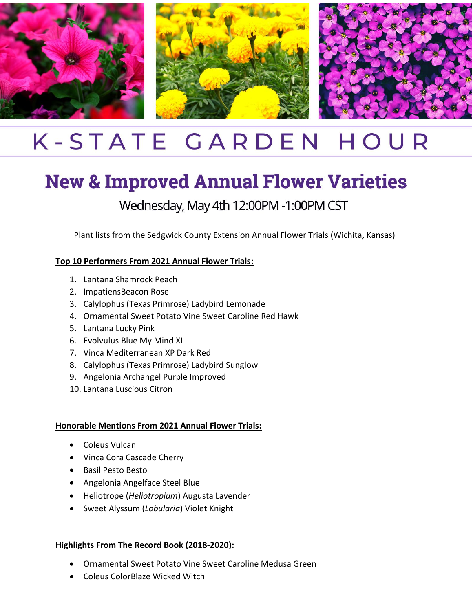

## K-STATE GARDEN HOUR

# **New & Improved Annual Flower Varieties**

Wednesday, May 4th 12:00PM -1:00PM CST

Plant lists from the Sedgwick County Extension Annual Flower Trials (Wichita, Kansas)

#### **Top 10 Performers From 2021 Annual Flower Trials:**

- 1. Lantana Shamrock Peach
- 2. ImpatiensBeacon Rose
- 3. Calylophus (Texas Primrose) Ladybird Lemonade
- 4. Ornamental Sweet Potato Vine Sweet Caroline Red Hawk
- 5. Lantana Lucky Pink
- 6. Evolvulus Blue My Mind XL
- 7. Vinca Mediterranean XP Dark Red
- 8. Calylophus (Texas Primrose) Ladybird Sunglow
- 9. Angelonia Archangel Purple Improved
- 10. Lantana Luscious Citron

#### **Honorable Mentions From 2021 Annual Flower Trials:**

- Coleus Vulcan
- Vinca Cora Cascade Cherry
- Basil Pesto Besto
- Angelonia Angelface Steel Blue
- Heliotrope (*Heliotropium*) Augusta Lavender
- Sweet Alyssum (*Lobularia*) Violet Knight

#### **Highlights From The Record Book (2018-2020):**

- Ornamental Sweet Potato Vine Sweet Caroline Medusa Green
- Coleus ColorBlaze Wicked Witch